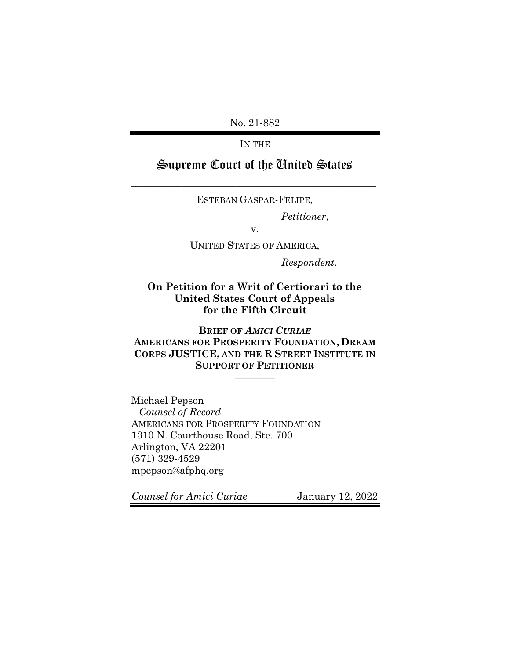No. 21-882

IN THE

# Supreme Court of the United States

\_\_\_\_\_\_\_\_\_\_\_\_\_\_\_\_\_\_\_\_\_\_\_\_\_\_\_\_\_\_\_\_\_\_\_\_\_\_\_\_\_\_\_\_\_\_\_\_\_

ESTEBAN GASPAR-FELIPE,

*Petitioner*,

v.

UNITED STATES OF AMERICA,

\_\_\_\_\_\_\_\_\_\_\_\_\_\_\_\_\_\_\_\_\_\_\_\_\_\_\_\_\_\_\_\_\_\_\_\_\_\_\_\_\_\_\_\_\_\_\_\_\_\_\_\_\_\_\_\_\_\_\_\_\_\_\_\_\_\_\_\_\_\_\_\_\_\_\_\_\_\_\_\_\_\_\_\_\_\_\_\_\_\_\_\_\_\_\_\_\_\_\_\_

*Respondent*.

**On Petition for a Writ of Certiorari to the United States Court of Appeals for the Fifth Circuit**

\_\_\_\_\_\_\_\_\_\_\_\_\_\_\_\_\_\_\_\_\_\_\_\_\_\_\_\_\_\_\_\_\_\_\_\_\_\_\_\_\_\_\_\_\_\_\_\_\_\_\_\_\_\_\_\_\_\_\_\_\_\_\_\_\_\_\_\_\_\_\_\_\_\_\_\_\_\_\_\_\_\_\_\_\_\_\_\_\_\_\_\_\_\_\_\_\_\_\_\_

**BRIEF OF** *AMICI CURIAE* **AMERICANS FOR PROSPERITY FOUNDATION, DREAM CORPS JUSTICE, AND THE R STREET INSTITUTE IN SUPPORT OF PETITIONER**

————

Michael Pepson *Counsel of Record* AMERICANS FOR PROSPERITY FOUNDATION 1310 N. Courthouse Road, Ste. 700 Arlington, VA 22201 (571) 329-4529 mpepson@afphq.org

*Counsel for Amici Curiae* January 12, 2022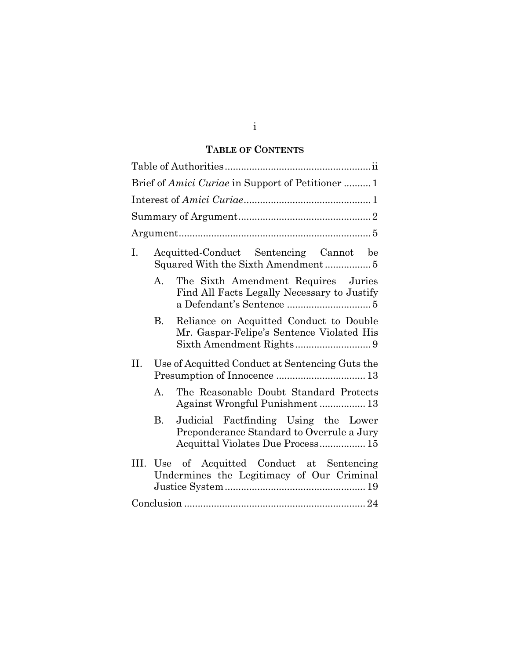# **TABLE OF CONTENTS**

| Brief of Amici Curiae in Support of Petitioner  1                                                                            |
|------------------------------------------------------------------------------------------------------------------------------|
|                                                                                                                              |
|                                                                                                                              |
|                                                                                                                              |
| Acquitted-Conduct Sentencing Cannot be<br>$\mathbf{I}$ .                                                                     |
| The Sixth Amendment Requires Juries<br>$\mathbf{A}$<br>Find All Facts Legally Necessary to Justify                           |
| Reliance on Acquitted Conduct to Double<br>В.<br>Mr. Gaspar-Felipe's Sentence Violated His                                   |
| Use of Acquitted Conduct at Sentencing Guts the<br>П.                                                                        |
| The Reasonable Doubt Standard Protects<br>A.<br>Against Wrongful Punishment 13                                               |
| Judicial Factfinding Using the Lower<br>B.<br>Preponderance Standard to Overrule a Jury<br>Acquittal Violates Due Process 15 |
| III. Use of Acquitted Conduct at Sentencing<br>Undermines the Legitimacy of Our Criminal                                     |
|                                                                                                                              |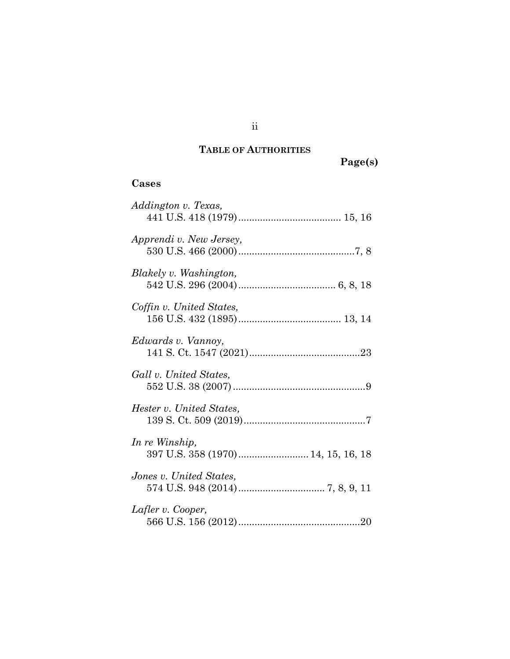# **TABLE OF AUTHORITIES**

**Page(s)**

## **Cases**

| Addington v. Texas,                                  |
|------------------------------------------------------|
| Apprendi v. New Jersey,                              |
| Blakely v. Washington,                               |
| Coffin v. United States,                             |
| Edwards v. Vannoy,                                   |
| Gall v. United States,                               |
| Hester v. United States,                             |
| In re Winship,<br>397 U.S. 358 (1970) 14, 15, 16, 18 |
| Jones v. United States,                              |
| Lafler v. Cooper,                                    |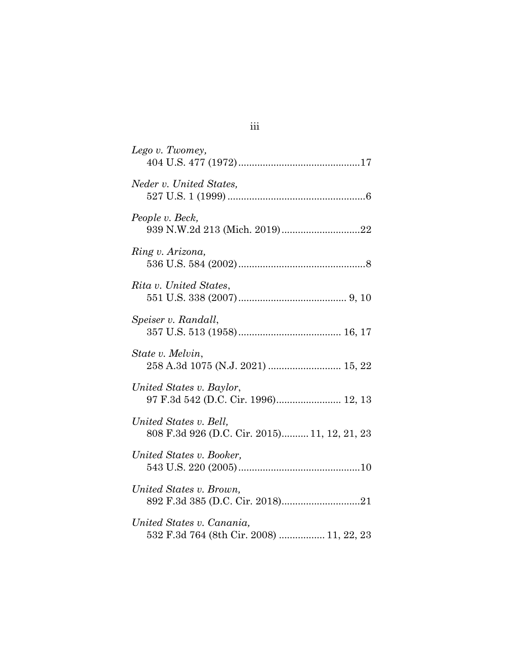| Lego v. Twomey,                                                        |
|------------------------------------------------------------------------|
| Neder v. United States,                                                |
| People v. Beck,<br>939 N.W.2d 213 (Mich. 2019)22                       |
| Ring v. Arizona,                                                       |
| Rita v. United States,                                                 |
| Speiser v. Randall,                                                    |
| State v. Melvin,<br>258 A.3d 1075 (N.J. 2021)  15, 22                  |
| United States v. Baylor,<br>97 F.3d 542 (D.C. Cir. 1996) 12, 13        |
| United States v. Bell,<br>808 F.3d 926 (D.C. Cir. 2015) 11, 12, 21, 23 |
| United States v. Booker,                                               |
| United States v. Brown,                                                |
| United States v. Canania,<br>532 F.3d 764 (8th Cir. 2008)  11, 22, 23  |

# iii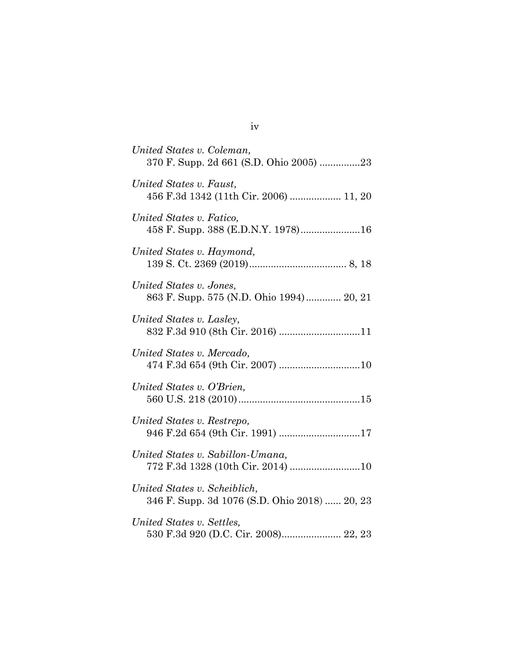| United States v. Coleman,<br>370 F. Supp. 2d 661 (S.D. Ohio 2005) 23          |
|-------------------------------------------------------------------------------|
| United States v. Faust,<br>456 F.3d 1342 (11th Cir. 2006)  11, 20             |
| United States v. Fatico,<br>458 F. Supp. 388 (E.D.N.Y. 1978)16                |
| United States v. Haymond,                                                     |
| United States v. Jones,<br>863 F. Supp. 575 (N.D. Ohio 1994) 20, 21           |
| United States v. Lasley,<br>832 F.3d 910 (8th Cir. 2016) 11                   |
| United States v. Mercado,<br>474 F.3d 654 (9th Cir. 2007) 10                  |
| United States v. O'Brien,                                                     |
| United States v. Restrepo,<br>946 F.2d 654 (9th Cir. 1991) 17                 |
| United States v. Sabillon-Umana,                                              |
| United States v. Scheiblich,<br>346 F. Supp. 3d 1076 (S.D. Ohio 2018)  20, 23 |
| United States v. Settles,<br>530 F.3d 920 (D.C. Cir. 2008) 22, 23             |

iv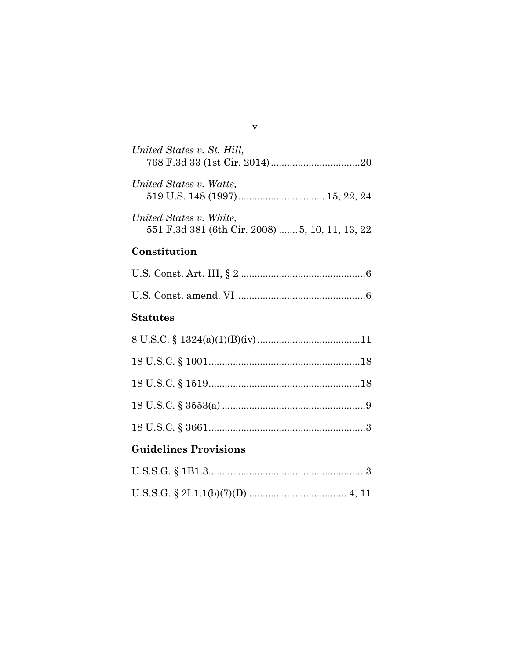| United States v. St. Hill,                                                 |
|----------------------------------------------------------------------------|
| United States v. Watts,                                                    |
| United States v. White,<br>551 F.3d 381 (6th Cir. 2008)  5, 10, 11, 13, 22 |
| Constitution                                                               |
|                                                                            |
|                                                                            |
| <b>Statutes</b>                                                            |
|                                                                            |
|                                                                            |
|                                                                            |
|                                                                            |
|                                                                            |
| <b>Guidelines Provisions</b>                                               |
|                                                                            |

## v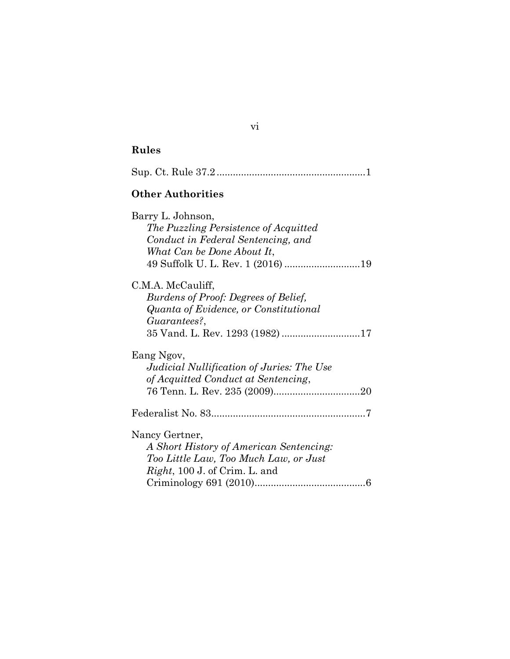| <b>Other Authorities</b>                                                                                                                              |
|-------------------------------------------------------------------------------------------------------------------------------------------------------|
| Barry L. Johnson,<br>The Puzzling Persistence of Acquitted<br>Conduct in Federal Sentencing, and<br>What Can be Done About It,                        |
| C.M.A. McCauliff,<br>Burdens of Proof: Degrees of Belief,<br>Quanta of Evidence, or Constitutional<br>Guarantees?,<br>35 Vand. L. Rev. 1293 (1982) 17 |
| Eang Ngov,<br>Judicial Nullification of Juries: The Use<br>of Acquitted Conduct at Sentencing,                                                        |
|                                                                                                                                                       |

Nancy Gertner, *A Short History of American Sentencing: Too Little Law, Too Much Law, or Just Right*, 100 J. of Crim. L. and

Criminology 691 (2010).........................................6

vi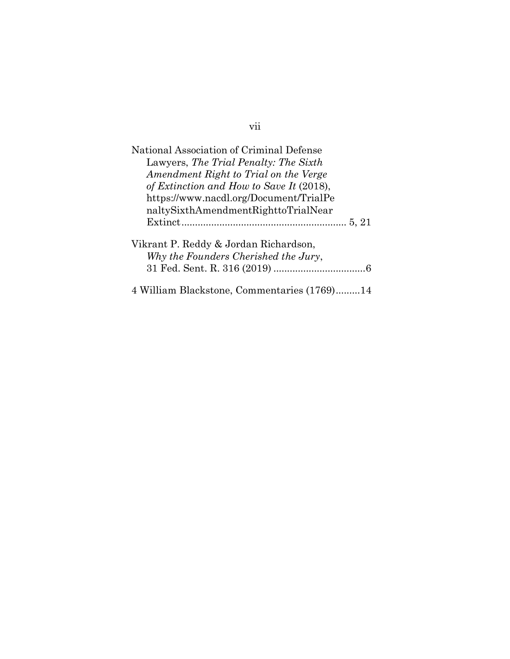| National Association of Criminal Defense<br>Lawyers, The Trial Penalty: The Sixth<br>Amendment Right to Trial on the Verge |
|----------------------------------------------------------------------------------------------------------------------------|
| of Extinction and How to Save It (2018),                                                                                   |
| https://www.nacdl.org/Document/TrialPe                                                                                     |
| naltySixthAmendmentRighttoTrialNear                                                                                        |
|                                                                                                                            |
| Vikrant P. Reddy & Jordan Richardson,<br>Why the Founders Cherished the Jury,                                              |
|                                                                                                                            |
| 4 William Blackstone, Commentaries (1769)14                                                                                |

vii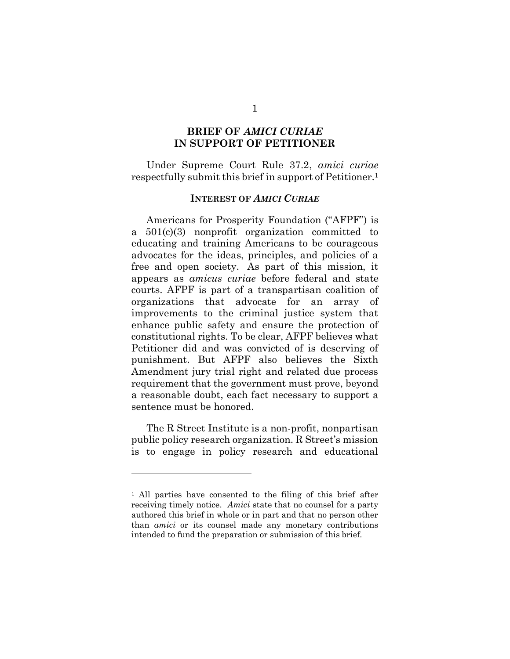## **BRIEF OF** *AMICI CURIAE*  **IN SUPPORT OF PETITIONER**

Under Supreme Court Rule 37.2, *amici curiae*  respectfully submit this brief in support of Petitioner.<sup>1</sup>

#### **INTEREST OF** *AMICI CURIAE*

Americans for Prosperity Foundation ("AFPF") is a 501(c)(3) nonprofit organization committed to educating and training Americans to be courageous advocates for the ideas, principles, and policies of a free and open society. As part of this mission, it appears as *amicus curiae* before federal and state courts. AFPF is part of a transpartisan coalition of organizations that advocate for an array of improvements to the criminal justice system that enhance public safety and ensure the protection of constitutional rights. To be clear, AFPF believes what Petitioner did and was convicted of is deserving of punishment. But AFPF also believes the Sixth Amendment jury trial right and related due process requirement that the government must prove, beyond a reasonable doubt, each fact necessary to support a sentence must be honored.

The R Street Institute is a non-profit, nonpartisan public policy research organization. R Street's mission is to engage in policy research and educational

<sup>1</sup> All parties have consented to the filing of this brief after receiving timely notice. *Amici* state that no counsel for a party authored this brief in whole or in part and that no person other than *amici* or its counsel made any monetary contributions intended to fund the preparation or submission of this brief.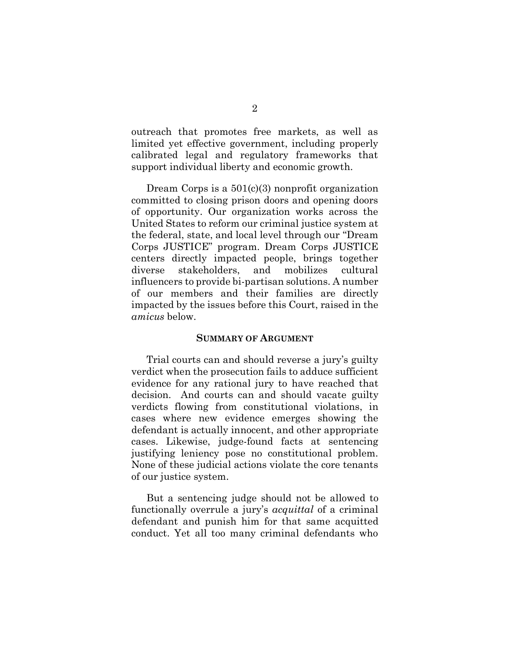outreach that promotes free markets, as well as limited yet effective government, including properly calibrated legal and regulatory frameworks that support individual liberty and economic growth.

Dream Corps is a 501(c)(3) nonprofit organization committed to closing prison doors and opening doors of opportunity. Our organization works across the United States to reform our criminal justice system at the federal, state, and local level through our "Dream Corps JUSTICE" program. Dream Corps JUSTICE centers directly impacted people, brings together diverse stakeholders, and mobilizes cultural influencers to provide bi-partisan solutions. A number of our members and their families are directly impacted by the issues before this Court, raised in the *amicus* below.

#### **SUMMARY OF ARGUMENT**

Trial courts can and should reverse a jury's guilty verdict when the prosecution fails to adduce sufficient evidence for any rational jury to have reached that decision. And courts can and should vacate guilty verdicts flowing from constitutional violations, in cases where new evidence emerges showing the defendant is actually innocent, and other appropriate cases. Likewise, judge-found facts at sentencing justifying leniency pose no constitutional problem. None of these judicial actions violate the core tenants of our justice system.

But a sentencing judge should not be allowed to functionally overrule a jury's *acquittal* of a criminal defendant and punish him for that same acquitted conduct. Yet all too many criminal defendants who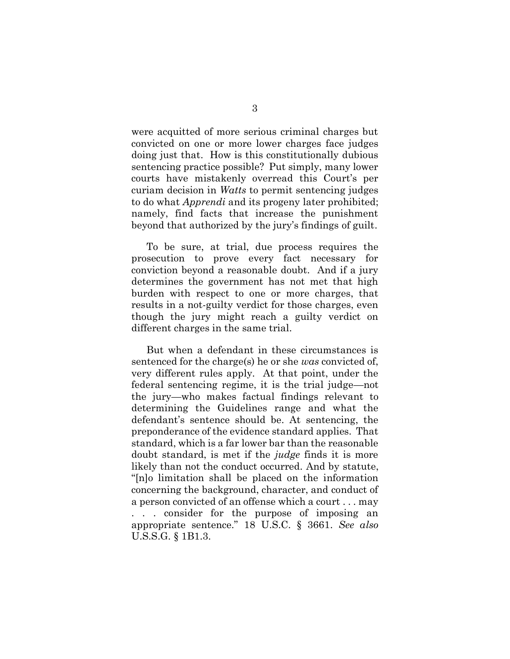were acquitted of more serious criminal charges but convicted on one or more lower charges face judges doing just that. How is this constitutionally dubious sentencing practice possible? Put simply, many lower courts have mistakenly overread this Court's per curiam decision in *Watts* to permit sentencing judges to do what *Apprendi* and its progeny later prohibited; namely, find facts that increase the punishment beyond that authorized by the jury's findings of guilt.

To be sure, at trial, due process requires the prosecution to prove every fact necessary for conviction beyond a reasonable doubt. And if a jury determines the government has not met that high burden with respect to one or more charges, that results in a not-guilty verdict for those charges, even though the jury might reach a guilty verdict on different charges in the same trial.

But when a defendant in these circumstances is sentenced for the charge(s) he or she *was* convicted of, very different rules apply. At that point, under the federal sentencing regime, it is the trial judge—not the jury—who makes factual findings relevant to determining the Guidelines range and what the defendant's sentence should be. At sentencing, the preponderance of the evidence standard applies. That standard, which is a far lower bar than the reasonable doubt standard, is met if the *judge* finds it is more likely than not the conduct occurred. And by statute, "[n]o limitation shall be placed on the information concerning the background, character, and conduct of a person convicted of an offense which a court . . . may . . . consider for the purpose of imposing an appropriate sentence." 18 U.S.C. § 3661. *See also*  U.S.S.G. § 1B1.3.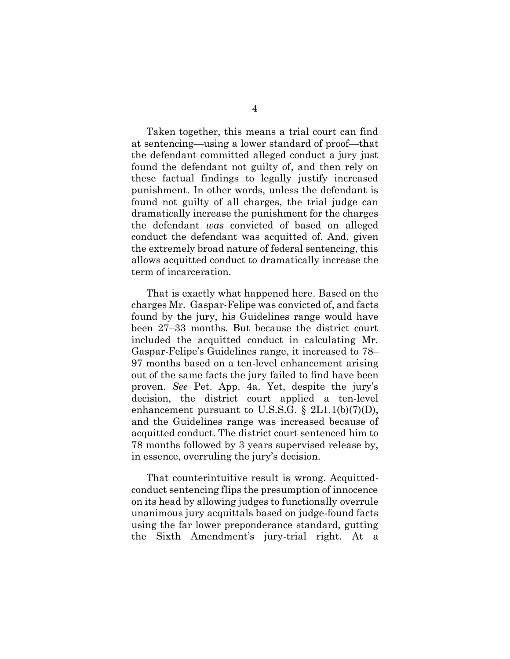Taken together, this means a trial court can find at sentencing—using a lower standard of proof—that the defendant committed alleged conduct a jury just found the defendant not guilty of, and then rely on these factual findings to legally justify increased punishment. In other words, unless the defendant is found not guilty of all charges, the trial judge can dramatically increase the punishment for the charges the defendant *was* convicted of based on alleged conduct the defendant was acquitted of. And, given the extremely broad nature of federal sentencing, this allows acquitted conduct to dramatically increase the term of incarceration.

That is exactly what happened here. Based on the charges Mr. Gaspar-Felipe was convicted of, and facts found by the jury, his Guidelines range would have been 27–33 months. But because the district court included the acquitted conduct in calculating Mr. Gaspar-Felipe's Guidelines range, it increased to 78– 97 months based on a ten-level enhancement arising out of the same facts the jury failed to find have been proven. *See* Pet. App. 4a. Yet, despite the jury's decision, the district court applied a ten-level enhancement pursuant to U.S.S.G.  $\S$  2L1.1(b)(7)(D), and the Guidelines range was increased because of acquitted conduct. The district court sentenced him to 78 months followed by 3 years supervised release by, in essence, overruling the jury's decision.

That counterintuitive result is wrong. Acquittedconduct sentencing flips the presumption of innocence on its head by allowing judges to functionally overrule unanimous jury acquittals based on judge-found facts using the far lower preponderance standard, gutting the Sixth Amendment's jury-trial right. At a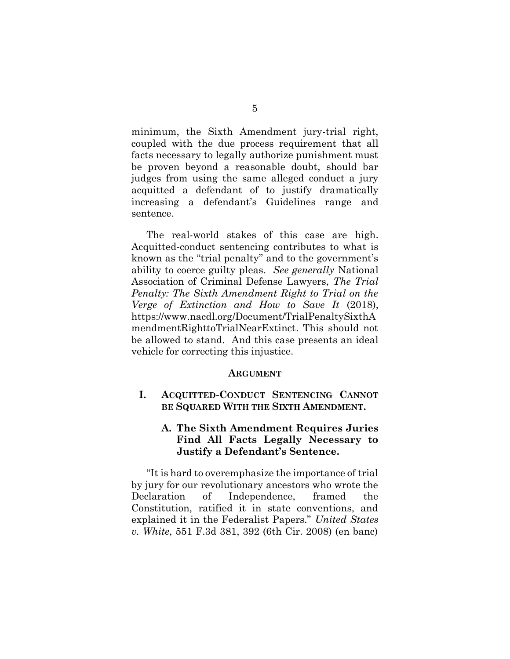minimum, the Sixth Amendment jury-trial right, coupled with the due process requirement that all facts necessary to legally authorize punishment must be proven beyond a reasonable doubt, should bar judges from using the same alleged conduct a jury acquitted a defendant of to justify dramatically increasing a defendant's Guidelines range and sentence.

The real-world stakes of this case are high. Acquitted-conduct sentencing contributes to what is known as the "trial penalty" and to the government's ability to coerce guilty pleas. *See generally* National Association of Criminal Defense Lawyers, *The Trial Penalty: The Sixth Amendment Right to Trial on the Verge of Extinction and How to Save It* (2018), [https://www.nacdl.org/Document/TrialPenaltySixthA](https://www.nacdl.org/Document/TrialPenaltySixthAmendmentRighttoTrialNearExtinct) [mendmentRighttoTrialNearExtinct.](https://www.nacdl.org/Document/TrialPenaltySixthAmendmentRighttoTrialNearExtinct) This should not be allowed to stand. And this case presents an ideal vehicle for correcting this injustice.

#### **ARGUMENT**

**I. ACQUITTED-CONDUCT SENTENCING CANNOT BE SQUARED WITH THE SIXTH AMENDMENT.**

## **A. The Sixth Amendment Requires Juries Find All Facts Legally Necessary to Justify a Defendant's Sentence.**

"It is hard to overemphasize the importance of trial by jury for our revolutionary ancestors who wrote the Declaration of Independence, framed the Constitution, ratified it in state conventions, and explained it in the Federalist Papers." *United States v. White*, 551 F.3d 381, 392 (6th Cir. 2008) (en banc)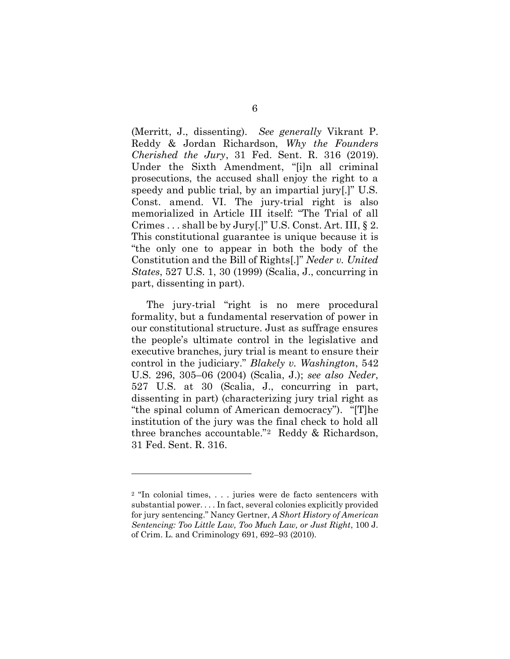(Merritt, J., dissenting). *See generally* Vikrant P. Reddy & Jordan Richardson, *Why the Founders Cherished the Jury*, 31 Fed. Sent. R. 316 (2019). Under the Sixth Amendment, "[i]n all criminal prosecutions, the accused shall enjoy the right to a speedy and public trial, by an impartial jury[.]" U.S. Const. amend. VI. The jury-trial right is also memorialized in Article III itself: "The Trial of all Crimes . . . shall be by Jury[.]" U.S. Const. Art. III, § 2. This constitutional guarantee is unique because it is "the only one to appear in both the body of the Constitution and the Bill of Rights[.]" *Neder v. United States*, 527 U.S. 1, 30 (1999) (Scalia, J., concurring in part, dissenting in part).

The jury-trial "right is no mere procedural formality, but a fundamental reservation of power in our constitutional structure. Just as suffrage ensures the people's ultimate control in the legislative and executive branches, jury trial is meant to ensure their control in the judiciary." *Blakely v. Washington*, 542 U.S. 296, 305–06 (2004) (Scalia, J.); *see also Neder*, 527 U.S. at 30 (Scalia, J., concurring in part, dissenting in part) (characterizing jury trial right as "the spinal column of American democracy"). "[T]he institution of the jury was the final check to hold all three branches accountable."<sup>2</sup> Reddy & Richardson, 31 Fed. Sent. R. 316.

<sup>2</sup> "In colonial times, . . . juries were de facto sentencers with substantial power. . . . In fact, several colonies explicitly provided for jury sentencing." Nancy Gertner, *A Short History of American Sentencing: Too Little Law, Too Much Law, or Just Right*, 100 J. of Crim. L. and Criminology 691, 692–93 (2010).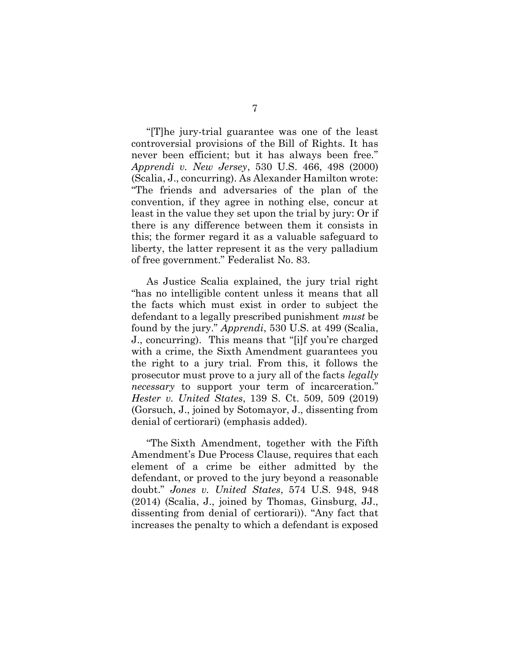"[T]he jury-trial guarantee was one of the least controversial provisions of the Bill of Rights. It has never been efficient; but it has always been free." *Apprendi v. New Jersey*, 530 U.S. 466, 498 (2000) (Scalia, J., concurring). As Alexander Hamilton wrote: "The friends and adversaries of the plan of the convention, if they agree in nothing else, concur at least in the value they set upon the trial by jury: Or if there is any difference between them it consists in this; the former regard it as a valuable safeguard to liberty, the latter represent it as the very palladium of free government." Federalist No. 83.

As Justice Scalia explained, the jury trial right "has no intelligible content unless it means that all the facts which must exist in order to subject the defendant to a legally prescribed punishment *must* be found by the jury." *Apprendi*, 530 U.S. at 499 (Scalia, J., concurring). This means that "[i]f you're charged with a crime, the Sixth Amendment guarantees you the right to a jury trial. From this, it follows the prosecutor must prove to a jury all of the facts *legally necessary* to support your term of incarceration." *Hester v. United States*, 139 S. Ct. 509, 509 (2019) (Gorsuch, J., joined by Sotomayor, J., dissenting from denial of certiorari) (emphasis added).

"The Sixth Amendment, together with the Fifth Amendment's Due Process Clause, requires that each element of a crime be either admitted by the defendant, or proved to the jury beyond a reasonable doubt." *Jones v. United States*, 574 U.S. 948, 948 (2014) (Scalia, J., joined by Thomas, Ginsburg, JJ., dissenting from denial of certiorari)). "Any fact that increases the penalty to which a defendant is exposed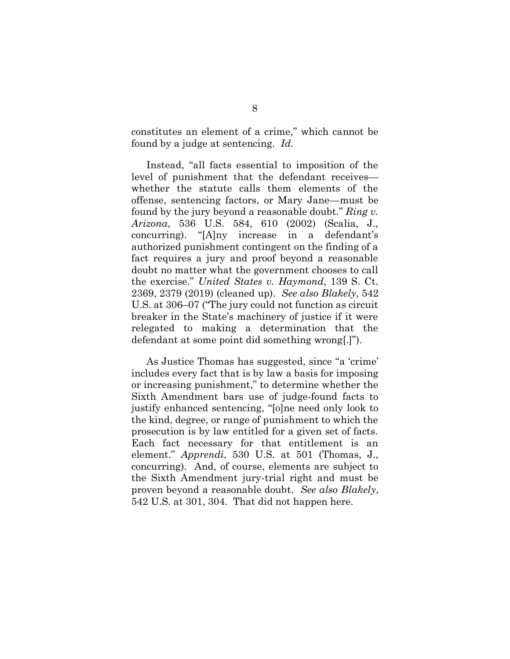constitutes an element of a crime," which cannot be found by a judge at sentencing. *Id.*

Instead, "all facts essential to imposition of the level of punishment that the defendant receives whether the statute calls them elements of the offense, sentencing factors, or Mary Jane—must be found by the jury beyond a reasonable doubt." *Ring v. Arizona*, 536 U.S. 584, 610 (2002) (Scalia, J., concurring). "[A]ny increase in a defendant's authorized punishment contingent on the finding of a fact requires a jury and proof beyond a reasonable doubt no matter what the government chooses to call the exercise." *United States v. Haymond*, 139 S. Ct. 2369, 2379 (2019) (cleaned up). *See also Blakely*, 542 U.S. at 306–07 ("The jury could not function as circuit breaker in the State's machinery of justice if it were relegated to making a determination that the defendant at some point did something wrong[.]").

As Justice Thomas has suggested, since "a 'crime' includes every fact that is by law a basis for imposing or increasing punishment," to determine whether the Sixth Amendment bars use of judge-found facts to justify enhanced sentencing, "[o]ne need only look to the kind, degree, or range of punishment to which the prosecution is by law entitled for a given set of facts. Each fact necessary for that entitlement is an element." *Apprendi*, 530 U.S. at 501 (Thomas, J., concurring). And, of course, elements are subject to the Sixth Amendment jury-trial right and must be proven beyond a reasonable doubt. *See also Blakely*, 542 U.S. at 301, 304. That did not happen here.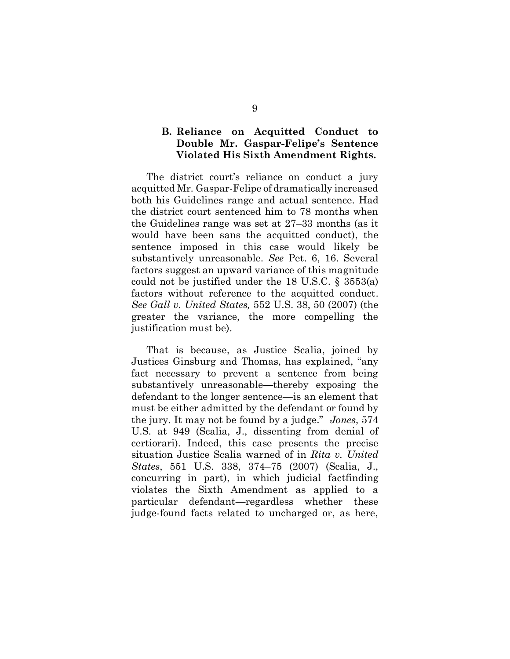## **B. Reliance on Acquitted Conduct to Double Mr. Gaspar-Felipe's Sentence Violated His Sixth Amendment Rights.**

The district court's reliance on conduct a jury acquitted Mr. Gaspar-Felipe of dramatically increased both his Guidelines range and actual sentence. Had the district court sentenced him to 78 months when the Guidelines range was set at 27–33 months (as it would have been sans the acquitted conduct), the sentence imposed in this case would likely be substantively unreasonable. *See* Pet. 6, 16. Several factors suggest an upward variance of this magnitude could not be justified under the 18 U.S.C. § 3553(a) factors without reference to the acquitted conduct. *See Gall v. United States,* 552 U.S. 38, 50 (2007) (the greater the variance, the more compelling the justification must be).

That is because, as Justice Scalia, joined by Justices Ginsburg and Thomas, has explained, "any fact necessary to prevent a sentence from being substantively unreasonable—thereby exposing the defendant to the longer sentence—is an element that must be either admitted by the defendant or found by the jury. It may not be found by a judge." *Jones*, 574 U.S. at 949 (Scalia, J., dissenting from denial of certiorari). Indeed, this case presents the precise situation Justice Scalia warned of in *Rita v. United States*, 551 U.S. 338, 374–75 (2007) (Scalia, J., concurring in part), in which judicial factfinding violates the Sixth Amendment as applied to a particular defendant—regardless whether these judge-found facts related to uncharged or, as here,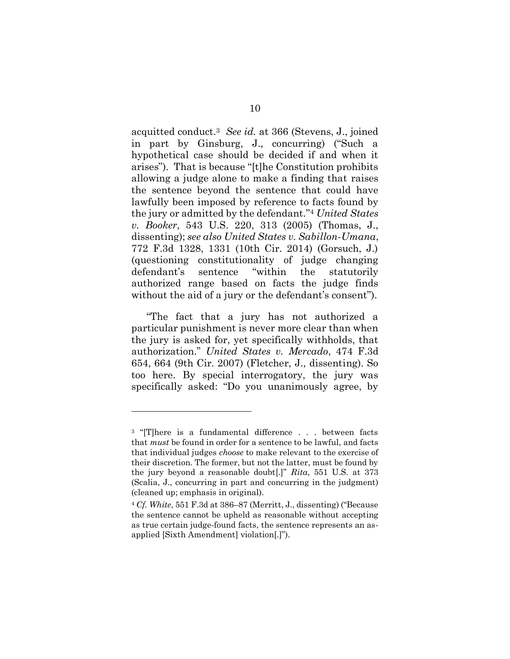acquitted conduct.<sup>3</sup> *See id.* at 366 (Stevens, J., joined in part by Ginsburg, J., concurring) ("Such a hypothetical case should be decided if and when it arises"). That is because "[t]he Constitution prohibits allowing a judge alone to make a finding that raises the sentence beyond the sentence that could have lawfully been imposed by reference to facts found by the jury or admitted by the defendant." <sup>4</sup> *United States v. Booker*, 543 U.S. 220, 313 (2005) (Thomas, J., dissenting); *see also United States v. Sabillon-Umana*, 772 F.3d 1328, 1331 (10th Cir. 2014) (Gorsuch, J.) (questioning constitutionality of judge changing defendant's sentence "within the statutorily authorized range based on facts the judge finds without the aid of a jury or the defendant's consent").

"The fact that a jury has not authorized a particular punishment is never more clear than when the jury is asked for, yet specifically withholds, that authorization." *United States v. Mercado*, 474 F.3d 654, 664 (9th Cir. 2007) (Fletcher, J., dissenting). So too here. By special interrogatory, the jury was specifically asked: "Do you unanimously agree, by

<sup>&</sup>lt;sup>3</sup> "[T]here is a fundamental difference . . . between facts that *must* be found in order for a sentence to be lawful, and facts that individual judges *choose* to make relevant to the exercise of their discretion. The former, but not the latter, must be found by the jury beyond a reasonable doubt[.]" *Rita*, 551 U.S. at 373 (Scalia, J., concurring in part and concurring in the judgment) (cleaned up; emphasis in original).

<sup>4</sup> *Cf. White*, 551 F.3d at 386–87 (Merritt, J., dissenting) ("Because the sentence cannot be upheld as reasonable without accepting as true certain judge-found facts, the sentence represents an asapplied [Sixth Amendment] violation[.]").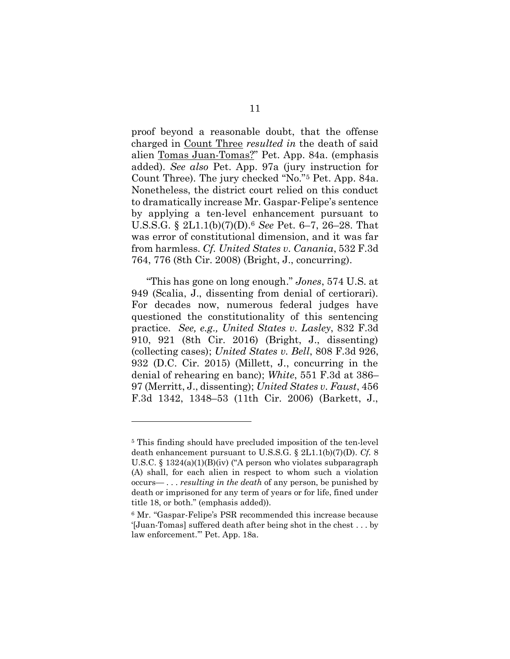proof beyond a reasonable doubt, that the offense charged in Count Three *resulted in* the death of said alien Tomas Juan-Tomas?" Pet. App. 84a. (emphasis added). *See also* Pet. App. 97a (jury instruction for Count Three). The jury checked "No."<sup>5</sup> Pet. App. 84a. Nonetheless, the district court relied on this conduct to dramatically increase Mr. Gaspar-Felipe's sentence by applying a ten-level enhancement pursuant to U.S.S.G. § 2L1.1(b)(7)(D). <sup>6</sup> *See* Pet. 6–7, 26–28. That was error of constitutional dimension, and it was far from harmless. *Cf. United States v. Canania*, 532 F.3d 764, 776 (8th Cir. 2008) (Bright, J., concurring).

"This has gone on long enough." *Jones*, 574 U.S. at 949 (Scalia, J., dissenting from denial of certiorari). For decades now, numerous federal judges have questioned the constitutionality of this sentencing practice. *See, e.g., United States v. Lasley*, 832 F.3d 910, 921 (8th Cir. 2016) (Bright, J., dissenting) (collecting cases); *United States v. Bell*, 808 F.3d 926, 932 (D.C. Cir. 2015) (Millett, J., concurring in the denial of rehearing en banc); *White*, 551 F.3d at 386– 97 (Merritt, J., dissenting); *United States v. Faust*, 456 F.3d 1342, 1348–53 (11th Cir. 2006) (Barkett, J.,

<sup>5</sup> This finding should have precluded imposition of the ten-level death enhancement pursuant to U.S.S.G. § 2L1.1(b)(7)(D). *Cf.* 8 U.S.C. § 1324(a)(1)(B)(iv) ("A person who violates subparagraph (A) shall, for each alien in respect to whom such a violation occurs— . . . *resulting in the death* of any person, be punished by death or imprisoned for any term of years or for life, fined under title 18, or both." (emphasis added)).

<sup>6</sup> Mr. "Gaspar-Felipe's PSR recommended this increase because '[Juan-Tomas] suffered death after being shot in the chest . . . by law enforcement.'" Pet. App. 18a.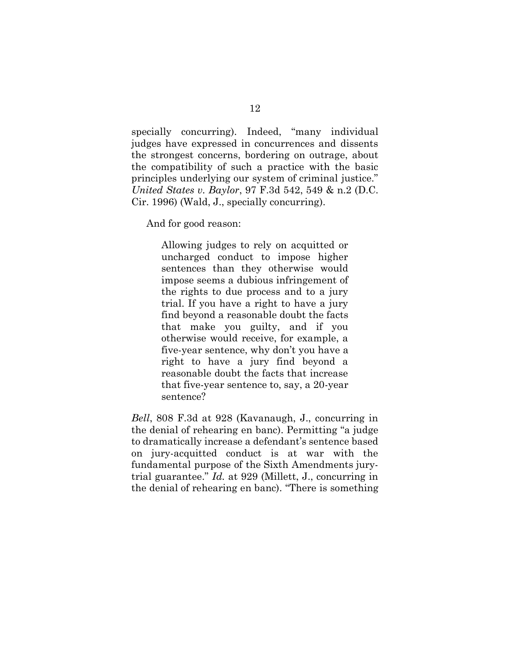specially concurring). Indeed, "many individual judges have expressed in concurrences and dissents the strongest concerns, bordering on outrage, about the compatibility of such a practice with the basic principles underlying our system of criminal justice." *United States v. Baylor*, 97 F.3d 542, 549 & n.2 (D.C. Cir. 1996) (Wald, J., specially concurring).

And for good reason:

Allowing judges to rely on acquitted or uncharged conduct to impose higher sentences than they otherwise would impose seems a dubious infringement of the rights to due process and to a jury trial. If you have a right to have a jury find beyond a reasonable doubt the facts that make you guilty, and if you otherwise would receive, for example, a five-year sentence, why don't you have a right to have a jury find beyond a reasonable doubt the facts that increase that five-year sentence to, say, a 20-year sentence?

*Bell*, 808 F.3d at 928 (Kavanaugh, J., concurring in the denial of rehearing en banc). Permitting "a judge to dramatically increase a defendant's sentence based on jury-acquitted conduct is at war with the fundamental purpose of the Sixth Amendments jurytrial guarantee." *Id.* at 929 (Millett, J., concurring in the denial of rehearing en banc). "There is something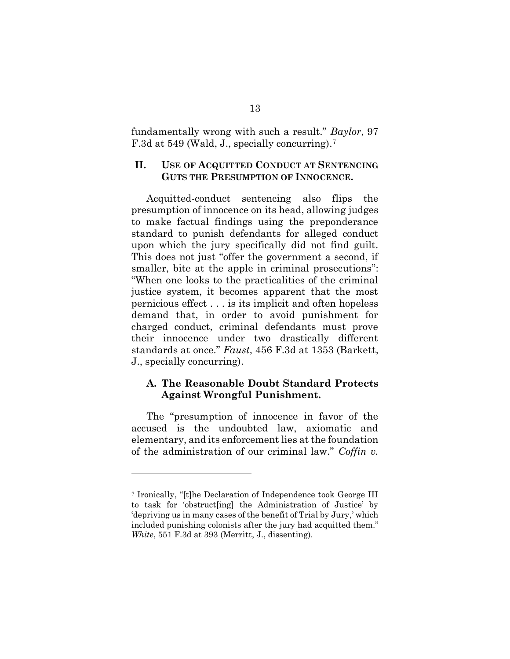fundamentally wrong with such a result." *Baylor*, 97 F.3d at 549 (Wald, J., specially concurring). 7

### **II. USE OF ACQUITTED CONDUCT AT SENTENCING GUTS THE PRESUMPTION OF INNOCENCE.**

Acquitted-conduct sentencing also flips the presumption of innocence on its head, allowing judges to make factual findings using the preponderance standard to punish defendants for alleged conduct upon which the jury specifically did not find guilt. This does not just "offer the government a second, if smaller, bite at the apple in criminal prosecutions": "When one looks to the practicalities of the criminal justice system, it becomes apparent that the most pernicious effect . . . is its implicit and often hopeless demand that, in order to avoid punishment for charged conduct, criminal defendants must prove their innocence under two drastically different standards at once." *Faust*, 456 F.3d at 1353 (Barkett, J., specially concurring).

## **A. The Reasonable Doubt Standard Protects Against Wrongful Punishment.**

The "presumption of innocence in favor of the accused is the undoubted law, axiomatic and elementary, and its enforcement lies at the foundation of the administration of our criminal law." *Coffin v.* 

<sup>7</sup> Ironically, "[t]he Declaration of Independence took George III to task for 'obstruct[ing] the Administration of Justice' by 'depriving us in many cases of the benefit of Trial by Jury,' which included punishing colonists after the jury had acquitted them." *White*, 551 F.3d at 393 (Merritt, J., dissenting).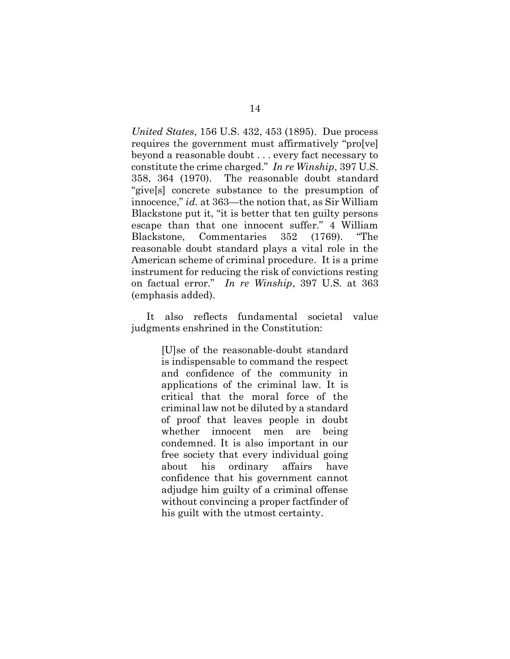*United States*, 156 U.S. 432, 453 (1895). Due process requires the government must affirmatively "pro[ve] beyond a reasonable doubt . . . every fact necessary to constitute the crime charged." *In re Winship*, 397 U.S. 358, 364 (1970). The reasonable doubt standard "give[s] concrete substance to the presumption of innocence," *id.* at 363—the notion that, as Sir William Blackstone put it, "it is better that ten guilty persons escape than that one innocent suffer." 4 William Blackstone, Commentaries 352 (1769). "The reasonable doubt standard plays a vital role in the American scheme of criminal procedure. It is a prime instrument for reducing the risk of convictions resting on factual error." *In re Winship*, 397 U.S. at 363 (emphasis added).

It also reflects fundamental societal value judgments enshrined in the Constitution:

> [U]se of the reasonable-doubt standard is indispensable to command the respect and confidence of the community in applications of the criminal law. It is critical that the moral force of the criminal law not be diluted by a standard of proof that leaves people in doubt whether innocent men are being condemned. It is also important in our free society that every individual going about his ordinary affairs have confidence that his government cannot adjudge him guilty of a criminal offense without convincing a proper factfinder of his guilt with the utmost certainty.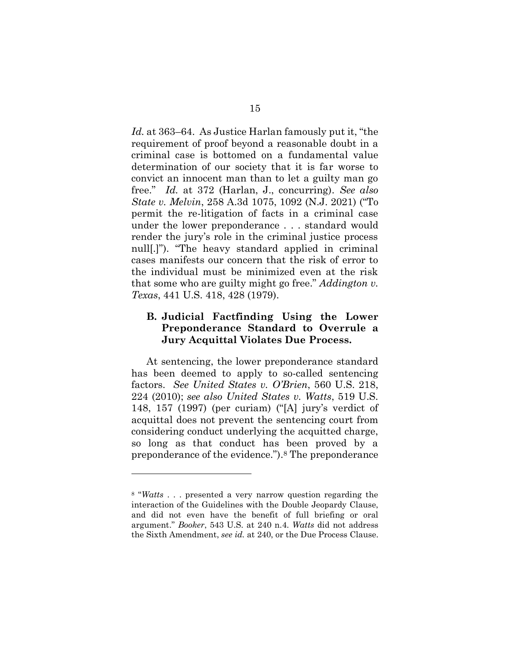*Id.* at 363–64. As Justice Harlan famously put it, "the requirement of proof beyond a reasonable doubt in a criminal case is bottomed on a fundamental value determination of our society that it is far worse to convict an innocent man than to let a guilty man go free." *Id.* at 372 (Harlan, J., concurring). *See also State v. Melvin*, 258 A.3d 1075, 1092 (N.J. 2021) ("To permit the re-litigation of facts in a criminal case under the lower preponderance . . . standard would render the jury's role in the criminal justice process null[.]"). "The heavy standard applied in criminal cases manifests our concern that the risk of error to the individual must be minimized even at the risk that some who are guilty might go free." *Addington v. Texas*, 441 U.S. 418, 428 (1979).

## **B. Judicial Factfinding Using the Lower Preponderance Standard to Overrule a Jury Acquittal Violates Due Process.**

At sentencing, the lower preponderance standard has been deemed to apply to so-called sentencing factors. *See United States v. O'Brien*, 560 U.S. 218, 224 (2010); *see also United States v. Watts*, 519 U.S. 148, 157 (1997) (per curiam) ("[A] jury's verdict of acquittal does not prevent the sentencing court from considering conduct underlying the acquitted charge, so long as that conduct has been proved by a preponderance of the evidence."). <sup>8</sup> The preponderance

<sup>8</sup> "*Watts* . . . presented a very narrow question regarding the interaction of the Guidelines with the Double Jeopardy Clause, and did not even have the benefit of full briefing or oral argument." *Booker*, 543 U.S. at 240 n.4. *Watts* did not address the Sixth Amendment, *see id.* at 240, or the Due Process Clause.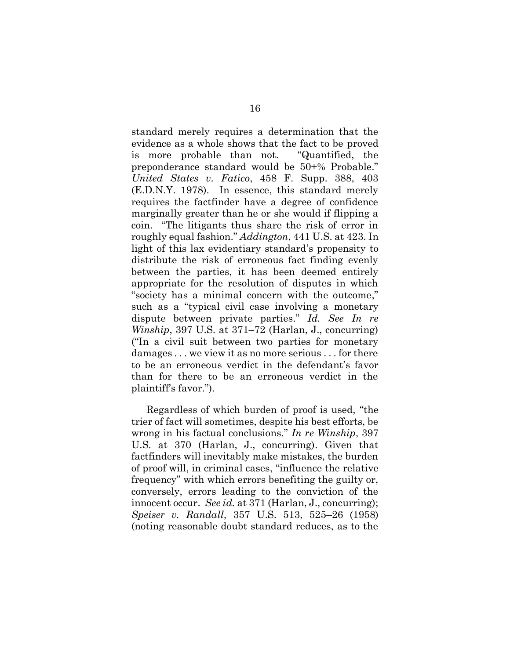standard merely requires a determination that the evidence as a whole shows that the fact to be proved is more probable than not. "Quantified, the preponderance standard would be 50+% Probable." *United States v. Fatico*, 458 F. Supp. 388, 403 (E.D.N.Y. 1978). In essence, this standard merely requires the factfinder have a degree of confidence marginally greater than he or she would if flipping a coin. "The litigants thus share the risk of error in roughly equal fashion." *Addington*, 441 U.S. at 423. In light of this lax evidentiary standard's propensity to distribute the risk of erroneous fact finding evenly between the parties, it has been deemed entirely appropriate for the resolution of disputes in which "society has a minimal concern with the outcome," such as a "typical civil case involving a monetary dispute between private parties." *Id. See In re Winship*, 397 U.S. at 371–72 (Harlan, J., concurring) ("In a civil suit between two parties for monetary damages . . . we view it as no more serious . . . for there to be an erroneous verdict in the defendant's favor than for there to be an erroneous verdict in the plaintiff's favor.").

Regardless of which burden of proof is used, "the trier of fact will sometimes, despite his best efforts, be wrong in his factual conclusions." *In re Winship*, 397 U.S. at 370 (Harlan, J., concurring). Given that factfinders will inevitably make mistakes, the burden of proof will, in criminal cases, "influence the relative frequency" with which errors benefiting the guilty or, conversely, errors leading to the conviction of the innocent occur. *See id.* at 371 (Harlan, J., concurring); *Speiser v. Randall*, 357 U.S. 513, 525–26 (1958) (noting reasonable doubt standard reduces, as to the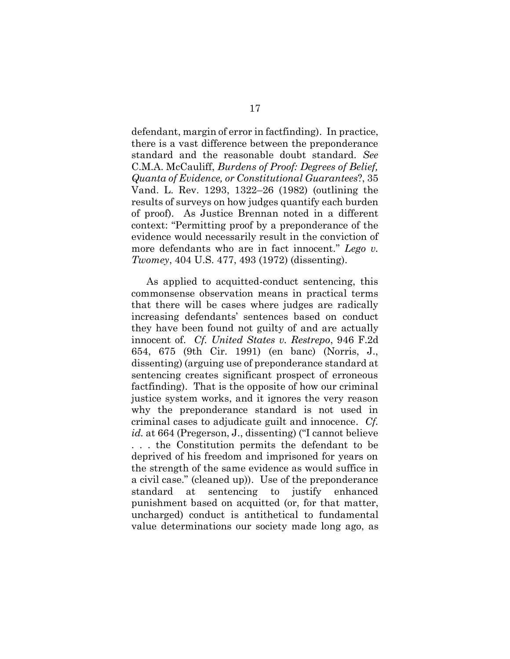defendant, margin of error in factfinding). In practice, there is a vast difference between the preponderance standard and the reasonable doubt standard. *See*  C.M.A. McCauliff, *Burdens of Proof: Degrees of Belief, Quanta of Evidence, or Constitutional Guarantees*?, 35 Vand. L. Rev. 1293, 1322–26 (1982) (outlining the results of surveys on how judges quantify each burden of proof). As Justice Brennan noted in a different context: "Permitting proof by a preponderance of the evidence would necessarily result in the conviction of more defendants who are in fact innocent." *Lego v. Twomey*, 404 U.S. 477, 493 (1972) (dissenting).

As applied to acquitted-conduct sentencing, this commonsense observation means in practical terms that there will be cases where judges are radically increasing defendants' sentences based on conduct they have been found not guilty of and are actually innocent of. *Cf. United States v. Restrepo*, 946 F.2d 654, 675 (9th Cir. 1991) (en banc) (Norris, J., dissenting) (arguing use of preponderance standard at sentencing creates significant prospect of erroneous factfinding).That is the opposite of how our criminal justice system works, and it ignores the very reason why the preponderance standard is not used in criminal cases to adjudicate guilt and innocence. *Cf. id.* at 664 (Pregerson, J., dissenting) ("I cannot believe . . . the Constitution permits the defendant to be deprived of his freedom and imprisoned for years on the strength of the same evidence as would suffice in a civil case." (cleaned up)). Use of the preponderance standard at sentencing to justify enhanced punishment based on acquitted (or, for that matter, uncharged) conduct is antithetical to fundamental value determinations our society made long ago, as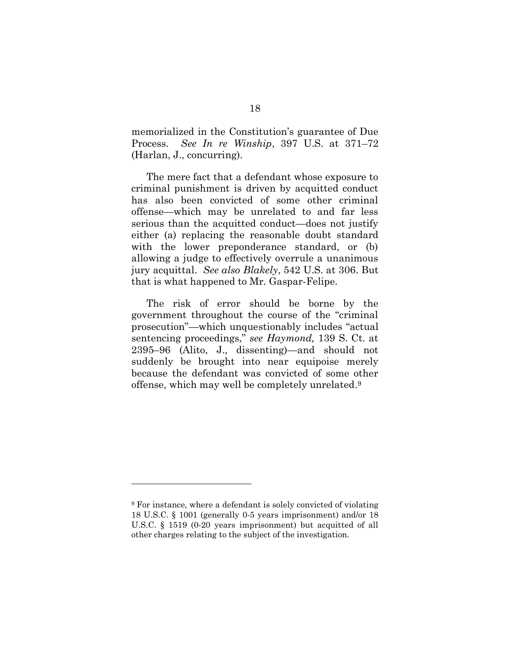memorialized in the Constitution's guarantee of Due Process. *See In re Winship*, 397 U.S. at 371–72 (Harlan, J., concurring).

The mere fact that a defendant whose exposure to criminal punishment is driven by acquitted conduct has also been convicted of some other criminal offense—which may be unrelated to and far less serious than the acquitted conduct—does not justify either (a) replacing the reasonable doubt standard with the lower preponderance standard, or (b) allowing a judge to effectively overrule a unanimous jury acquittal. *See also Blakely*, 542 U.S. at 306. But that is what happened to Mr. Gaspar-Felipe.

The risk of error should be borne by the government throughout the course of the "criminal prosecution"—which unquestionably includes "actual sentencing proceedings," *see Haymond,* 139 S. Ct. at 2395–96 (Alito, J., dissenting)—and should not suddenly be brought into near equipoise merely because the defendant was convicted of some other offense, which may well be completely unrelated. 9

<sup>9</sup> For instance, where a defendant is solely convicted of violating 18 U.S.C. § 1001 (generally 0-5 years imprisonment) and/or 18 U.S.C. § 1519 (0-20 years imprisonment) but acquitted of all other charges relating to the subject of the investigation.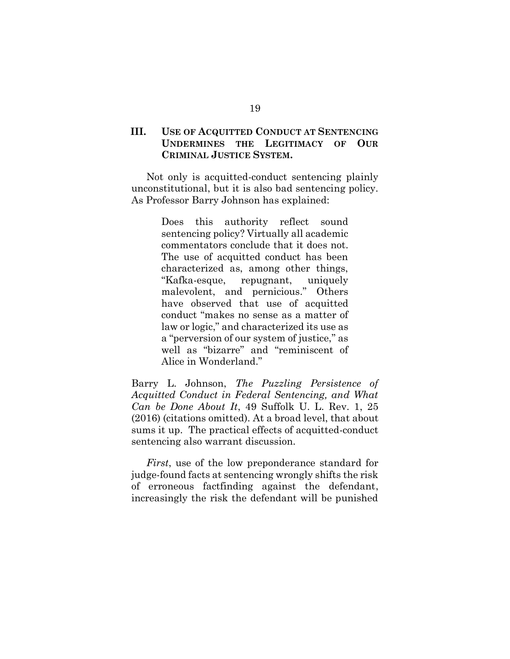## **III. USE OF ACQUITTED CONDUCT AT SENTENCING UNDERMINES THE LEGITIMACY OF OUR CRIMINAL JUSTICE SYSTEM.**

Not only is acquitted-conduct sentencing plainly unconstitutional, but it is also bad sentencing policy. As Professor Barry Johnson has explained:

> Does this authority reflect sound sentencing policy? Virtually all academic commentators conclude that it does not. The use of acquitted conduct has been characterized as, among other things, "Kafka-esque, repugnant, uniquely malevolent, and pernicious." Others have observed that use of acquitted conduct "makes no sense as a matter of law or logic," and characterized its use as a "perversion of our system of justice," as well as "bizarre" and "reminiscent of Alice in Wonderland."

Barry L. Johnson, *The Puzzling Persistence of Acquitted Conduct in Federal Sentencing, and What Can be Done About It*, 49 Suffolk U. L. Rev. 1, 25 (2016) (citations omitted). At a broad level, that about sums it up. The practical effects of acquitted-conduct sentencing also warrant discussion.

*First*, use of the low preponderance standard for judge-found facts at sentencing wrongly shifts the risk of erroneous factfinding against the defendant, increasingly the risk the defendant will be punished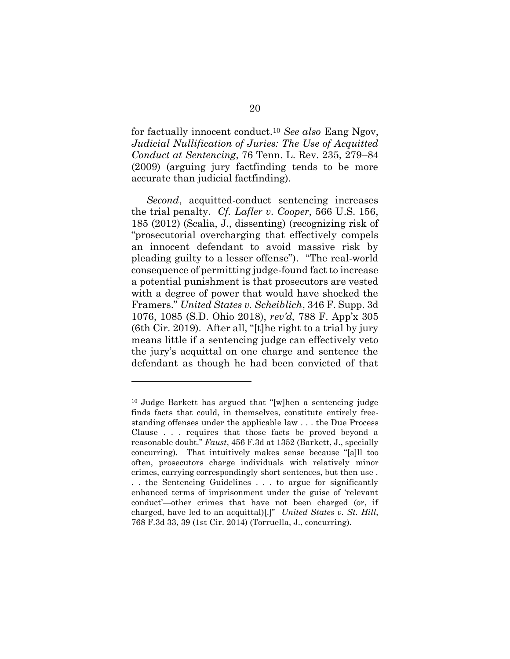for factually innocent conduct.<sup>10</sup> *See also* Eang Ngov, *Judicial Nullification of Juries: The Use of Acquitted Conduct at Sentencing*, 76 Tenn. L. Rev. 235, 279–84 (2009) (arguing jury factfinding tends to be more accurate than judicial factfinding).

*Second*, acquitted-conduct sentencing increases the trial penalty. *Cf. Lafler v. Cooper*, 566 U.S. 156, 185 (2012) (Scalia, J., dissenting) (recognizing risk of "prosecutorial overcharging that effectively compels an innocent defendant to avoid massive risk by pleading guilty to a lesser offense"). "The real-world consequence of permitting judge-found fact to increase a potential punishment is that prosecutors are vested with a degree of power that would have shocked the Framers." *United States v. Scheiblich*, 346 F. Supp. 3d 1076, 1085 (S.D. Ohio 2018), *rev'd,* 788 F. App'x 305 (6th Cir. 2019). After all, "[t]he right to a trial by jury means little if a sentencing judge can effectively veto the jury's acquittal on one charge and sentence the defendant as though he had been convicted of that

<sup>10</sup> Judge Barkett has argued that "[w]hen a sentencing judge finds facts that could, in themselves, constitute entirely freestanding offenses under the applicable law . . . the Due Process Clause . . . requires that those facts be proved beyond a reasonable doubt." *Faust*, 456 F.3d at 1352 (Barkett, J., specially concurring). That intuitively makes sense because "[a]ll too often, prosecutors charge individuals with relatively minor crimes, carrying correspondingly short sentences, but then use . . . the Sentencing Guidelines . . . to argue for significantly enhanced terms of imprisonment under the guise of 'relevant conduct'—other crimes that have not been charged (or, if charged, have led to an acquittal)[.]" *United States v. St. Hill*, 768 F.3d 33, 39 (1st Cir. 2014) (Torruella, J., concurring).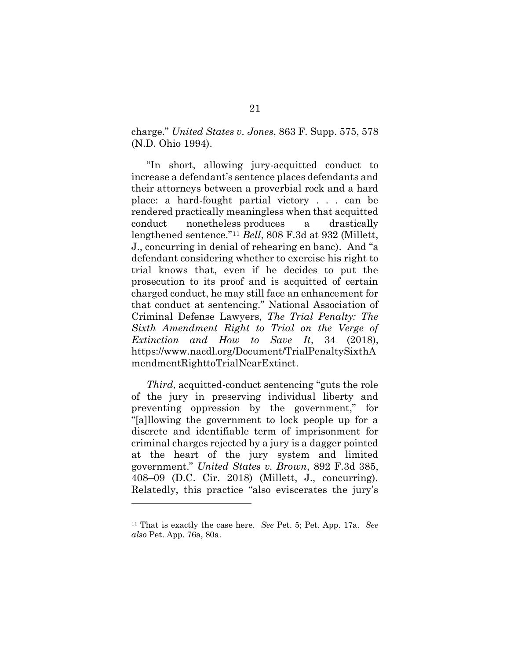charge." *United States v. Jones*, 863 F. Supp. 575, 578 (N.D. Ohio 1994).

"In short, allowing jury-acquitted conduct to increase a defendant's sentence places defendants and their attorneys between a proverbial rock and a hard place: a hard-fought partial victory . . . can be rendered practically meaningless when that acquitted conduct nonetheless produces a drastically lengthened sentence." <sup>11</sup> *Bell*, 808 F.3d at 932 (Millett, J., concurring in denial of rehearing en banc). And "a defendant considering whether to exercise his right to trial knows that, even if he decides to put the prosecution to its proof and is acquitted of certain charged conduct, he may still face an enhancement for that conduct at sentencing." National Association of Criminal Defense Lawyers, *The Trial Penalty: The Sixth Amendment Right to Trial on the Verge of Extinction and How to Save It*, 34 (2018), [https://www.nacdl.org/Document/TrialPenaltySixthA](https://www.nacdl.org/Document/TrialPenaltySixthAmendmentRighttoTrialNearExtinct) [mendmentRighttoTrialNearExtinct.](https://www.nacdl.org/Document/TrialPenaltySixthAmendmentRighttoTrialNearExtinct)

*Third*, acquitted-conduct sentencing "guts the role of the jury in preserving individual liberty and preventing oppression by the government," for "[a]llowing the government to lock people up for a discrete and identifiable term of imprisonment for criminal charges rejected by a jury is a dagger pointed at the heart of the jury system and limited government." *United States v. Brown*, 892 F.3d 385, 408–09 (D.C. Cir. 2018) (Millett, J., concurring). Relatedly, this practice "also eviscerates the jury's

<sup>11</sup> That is exactly the case here. *See* Pet. 5; Pet. App. 17a. *See also* Pet. App. 76a, 80a.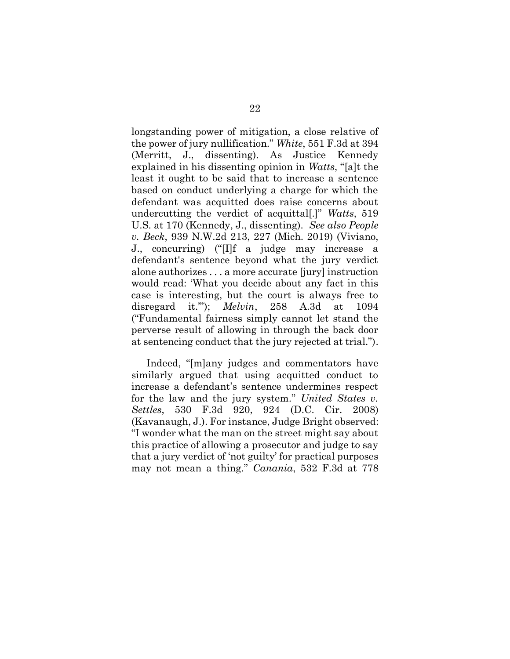longstanding power of mitigation, a close relative of the power of jury nullification." *White*, 551 F.3d at 394 (Merritt, J., dissenting). As Justice Kennedy explained in his dissenting opinion in *Watts*, "[a]t the least it ought to be said that to increase a sentence based on conduct underlying a charge for which the defendant was acquitted does raise concerns about undercutting the verdict of acquittal[.]" *Watts*, 519 U.S. at 170 (Kennedy, J., dissenting). *See also People v. Beck*, 939 N.W.2d 213, 227 (Mich. 2019) (Viviano, J., concurring) ("[I]f a judge may increase a defendant's sentence beyond what the jury verdict alone authorizes . . . a more accurate [jury] instruction would read: 'What you decide about any fact in this case is interesting, but the court is always free to disregard it.'"); *Melvin*, 258 A.3d at 1094 ("Fundamental fairness simply cannot let stand the perverse result of allowing in through the back door at sentencing conduct that the jury rejected at trial.").

Indeed, "[m]any judges and commentators have similarly argued that using acquitted conduct to increase a defendant's sentence undermines respect for the law and the jury system." *United States v. Settles*, 530 F.3d 920, 924 (D.C. Cir. 2008) (Kavanaugh, J.). For instance, Judge Bright observed: "I wonder what the man on the street might say about this practice of allowing a prosecutor and judge to say that a jury verdict of 'not guilty' for practical purposes may not mean a thing." *Canania*, 532 F.3d at 778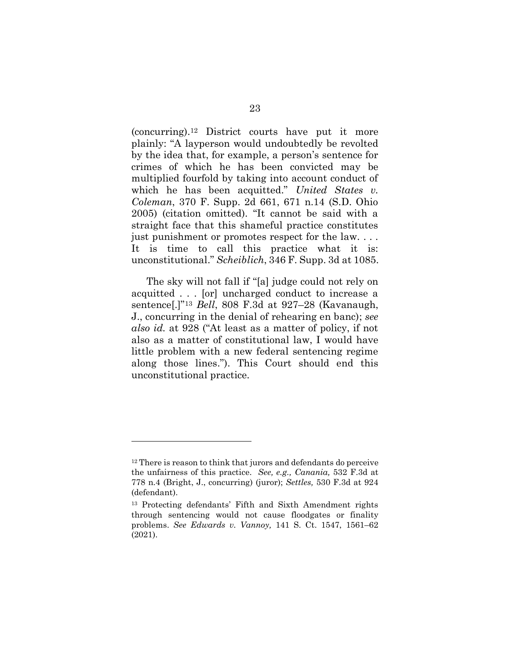(concurring). <sup>12</sup> District courts have put it more plainly: "A layperson would undoubtedly be revolted by the idea that, for example, a person's sentence for crimes of which he has been convicted may be multiplied fourfold by taking into account conduct of which he has been acquitted." *United States v. Coleman*, 370 F. Supp. 2d 661, 671 n.14 (S.D. Ohio 2005) (citation omitted). "It cannot be said with a straight face that this shameful practice constitutes just punishment or promotes respect for the law. . . . It is time to call this practice what it is: unconstitutional." *Scheiblich*, 346 F. Supp. 3d at 1085.

The sky will not fall if "[a] judge could not rely on acquitted . . . [or] uncharged conduct to increase a sentence[.]" <sup>13</sup> *Bell*, 808 F.3d at 927–28 (Kavanaugh, J., concurring in the denial of rehearing en banc); *see also id.* at 928 ("At least as a matter of policy, if not also as a matter of constitutional law, I would have little problem with a new federal sentencing regime along those lines."). This Court should end this unconstitutional practice.

<sup>&</sup>lt;sup>12</sup> There is reason to think that jurors and defendants do perceive the unfairness of this practice. *See, e.g., Canania,* 532 F.3d at 778 n.4 (Bright, J., concurring) (juror); *Settles,* 530 F.3d at 924 (defendant).

<sup>13</sup> Protecting defendants' Fifth and Sixth Amendment rights through sentencing would not cause floodgates or finality problems. *See Edwards v. Vannoy,* 141 S. Ct. 1547, 1561–62 (2021).